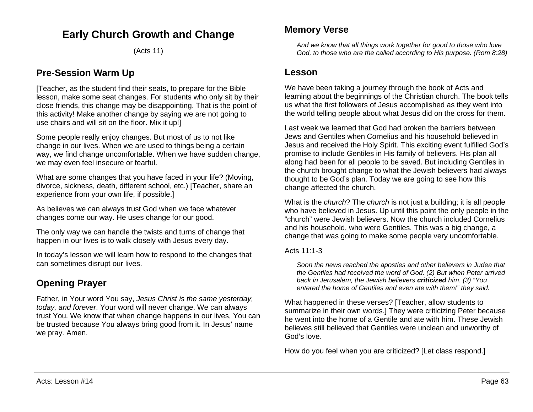# **Early Church Growth and Change**

(Acts 11)

### **Pre-Session Warm Up**

[Teacher, as the student find their seats, to prepare for the Bible lesson, make some seat changes. For students who only sit by their close friends, this change may be disappointing. That is the point of this activity! Make another change by saying we are not going to use chairs and will sit on the floor. Mix it up!]

Some people really enjoy changes. But most of us to not like change in our lives. When we are used to things being a certain way, we find change uncomfortable. When we have sudden change, we may even feel insecure or fearful.

What are some changes that you have faced in your life? (Moving, divorce, sickness, death, different school, etc.) [Teacher, share an experience from your own life, if possible.]

As believes we can always trust God when we face whatever changes come our way. He uses change for our good.

The only way we can handle the twists and turns of change that happen in our lives is to walk closely with Jesus every day.

In today's lesson we will learn how to respond to the changes that can sometimes disrupt our lives.

# **Opening Prayer**

Father, in Your word You say, *Jesus Christ is the same yesterday, today, and forever*. Your word will never change. We can always trust You. We know that when change happens in our lives, You can be trusted because You always bring good from it. In Jesus' name we pray. Amen.

### **Memory Verse**

*And we know that all things work together for good to those who love God, to those who are the called according to His purpose. (Rom 8:28)*

### **Lesson**

We have been taking a journey through the book of Acts and learning about the beginnings of the Christian church. The book tells us what the first followers of Jesus accomplished as they went into the world telling people about what Jesus did on the cross for them.

Last week we learned that God had broken the barriers between Jews and Gentiles when Cornelius and his household believed in Jesus and received the Holy Spirit. This exciting event fulfilled God's promise to include Gentiles in His family of believers. His plan all along had been for all people to be saved. But including Gentiles in the church brought change to what the Jewish believers had always thought to be God's plan. Today we are going to see how this change affected the church.

What is the *church*? The *church* is not just a building; it is all people who have believed in Jesus. Up until this point the only people in the "church" were Jewish believers. Now the church included Cornelius and his household, who were Gentiles. This was a big change, a change that was going to make some people very uncomfortable.

Acts 11:1-3

*Soon the news reached the apostles and other believers in Judea that the Gentiles had received the word of God. (2) But when Peter arrived back in Jerusalem, the Jewish believers criticized him. (3) "You entered the home of Gentiles and even ate with them!" they said.*

What happened in these verses? [Teacher, allow students to summarize in their own words.] They were criticizing Peter because he went into the home of a Gentile and ate with him. These Jewish believes still believed that Gentiles were unclean and unworthy of God's love.

How do you feel when you are criticized? [Let class respond.]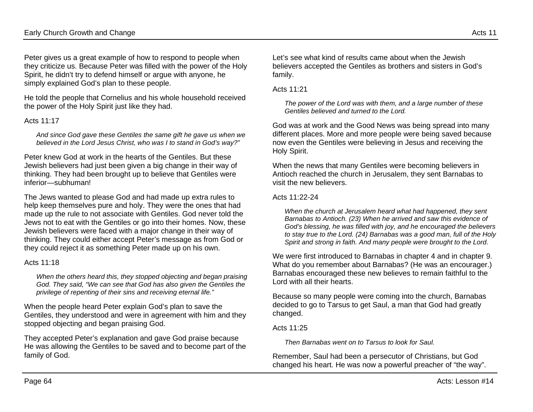Peter gives us a great example of how to respond to people when they criticize us. Because Peter was filled with the power of the Holy Spirit, he didn't try to defend himself or argue with anyone, he simply explained God's plan to these people.

He told the people that Cornelius and his whole household received the power of the Holy Spirit just like they had.

#### Acts 11:17

*And since God gave these Gentiles the same gift he gave us when we believed in the Lord Jesus Christ, who was I to stand in God's way?"*

Peter knew God at work in the hearts of the Gentiles. But these Jewish believers had just been given a big change in their way of thinking. They had been brought up to believe that Gentiles were inferior—subhuman!

The Jews wanted to please God and had made up extra rules to help keep themselves pure and holy. They were the ones that had made up the rule to not associate with Gentiles. God never told the Jews not to eat with the Gentiles or go into their homes. Now, these Jewish believers were faced with a major change in their way of thinking. They could either accept Peter's message as from God or they could reject it as something Peter made up on his own.

#### Acts 11:18

*When the others heard this, they stopped objecting and began praising God. They said, "We can see that God has also given the Gentiles the privilege of repenting of their sins and receiving eternal life."*

When the people heard Peter explain God's plan to save the Gentiles, they understood and were in agreement with him and they stopped objecting and began praising God.

They accepted Peter's explanation and gave God praise because He was allowing the Gentiles to be saved and to become part of the family of God.

Let's see what kind of results came about when the Jewish believers accepted the Gentiles as brothers and sisters in God's family.

#### Acts 11:21

*The power of the Lord was with them, and a large number of these Gentiles believed and turned to the Lord.*

God was at work and the Good News was being spread into many different places. More and more people were being saved because now even the Gentiles were believing in Jesus and receiving the Holy Spirit.

When the news that many Gentiles were becoming believers in Antioch reached the church in Jerusalem, they sent Barnabas to visit the new believers.

#### Acts 11:22-24

*When the church at Jerusalem heard what had happened, they sent Barnabas to Antioch. (23) When he arrived and saw this evidence of God's blessing, he was filled with joy, and he encouraged the believers to stay true to the Lord. (24) Barnabas was a good man, full of the Holy Spirit and strong in faith. And many people were brought to the Lord.*

We were first introduced to Barnabas in chapter 4 and in chapter 9. What do you remember about Barnabas? (He was an encourager.) Barnabas encouraged these new believes to remain faithful to the Lord with all their hearts.

Because so many people were coming into the church, Barnabas decided to go to Tarsus to get Saul, a man that God had greatly changed.

#### Acts 11:25

*Then Barnabas went on to Tarsus to look for Saul.*

Remember, Saul had been a persecutor of Christians, but God changed his heart. He was now a powerful preacher of "the way".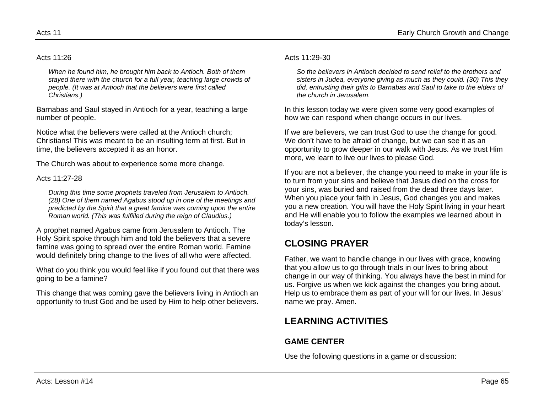#### Acts 11:26

*When he found him, he brought him back to Antioch. Both of them stayed there with the church for a full year, teaching large crowds of people. (It was at Antioch that the believers were first called Christians.)*

Barnabas and Saul stayed in Antioch for a year, teaching a large number of people.

Notice what the believers were called at the Antioch church; Christians! This was meant to be an insulting term at first. But in time, the believers accepted it as an honor.

The Church was about to experience some more change.

#### Acts 11:27-28

*During this time some prophets traveled from Jerusalem to Antioch. (28) One of them named Agabus stood up in one of the meetings and predicted by the Spirit that a great famine was coming upon the entire Roman world. (This was fulfilled during the reign of Claudius.)*

A prophet named Agabus came from Jerusalem to Antioch. The Holy Spirit spoke through him and told the believers that a severe famine was going to spread over the entire Roman world. Famine would definitely bring change to the lives of all who were affected.

What do you think you would feel like if you found out that there was going to be a famine?

This change that was coming gave the believers living in Antioch an opportunity to trust God and be used by Him to help other believers.

#### Acts 11:29-30

*So the believers in Antioch decided to send relief to the brothers and sisters in Judea, everyone giving as much as they could. (30) This they did, entrusting their gifts to Barnabas and Saul to take to the elders of the church in Jerusalem.*

In this lesson today we were given some very good examples of how we can respond when change occurs in our lives.

If we are believers, we can trust God to use the change for good. We don't have to be afraid of change, but we can see it as an opportunity to grow deeper in our walk with Jesus. As we trust Him more, we learn to live our lives to please God.

If you are not a believer, the change you need to make in your life is to turn from your sins and believe that Jesus died on the cross for your sins, was buried and raised from the dead three days later. When you place your faith in Jesus, God changes you and makes you a new creation. You will have the Holy Spirit living in your heart and He will enable you to follow the examples we learned about in today's lesson.

## **CLOSING PRAYER**

Father, we want to handle change in our lives with grace, knowing that you allow us to go through trials in our lives to bring about change in our way of thinking. You always have the best in mind for us. Forgive us when we kick against the changes you bring about. Help us to embrace them as part of your will for our lives. In Jesus' name we pray. Amen.

# **LEARNING ACTIVITIES**

### **GAME CENTER**

Use the following questions in a game or discussion: